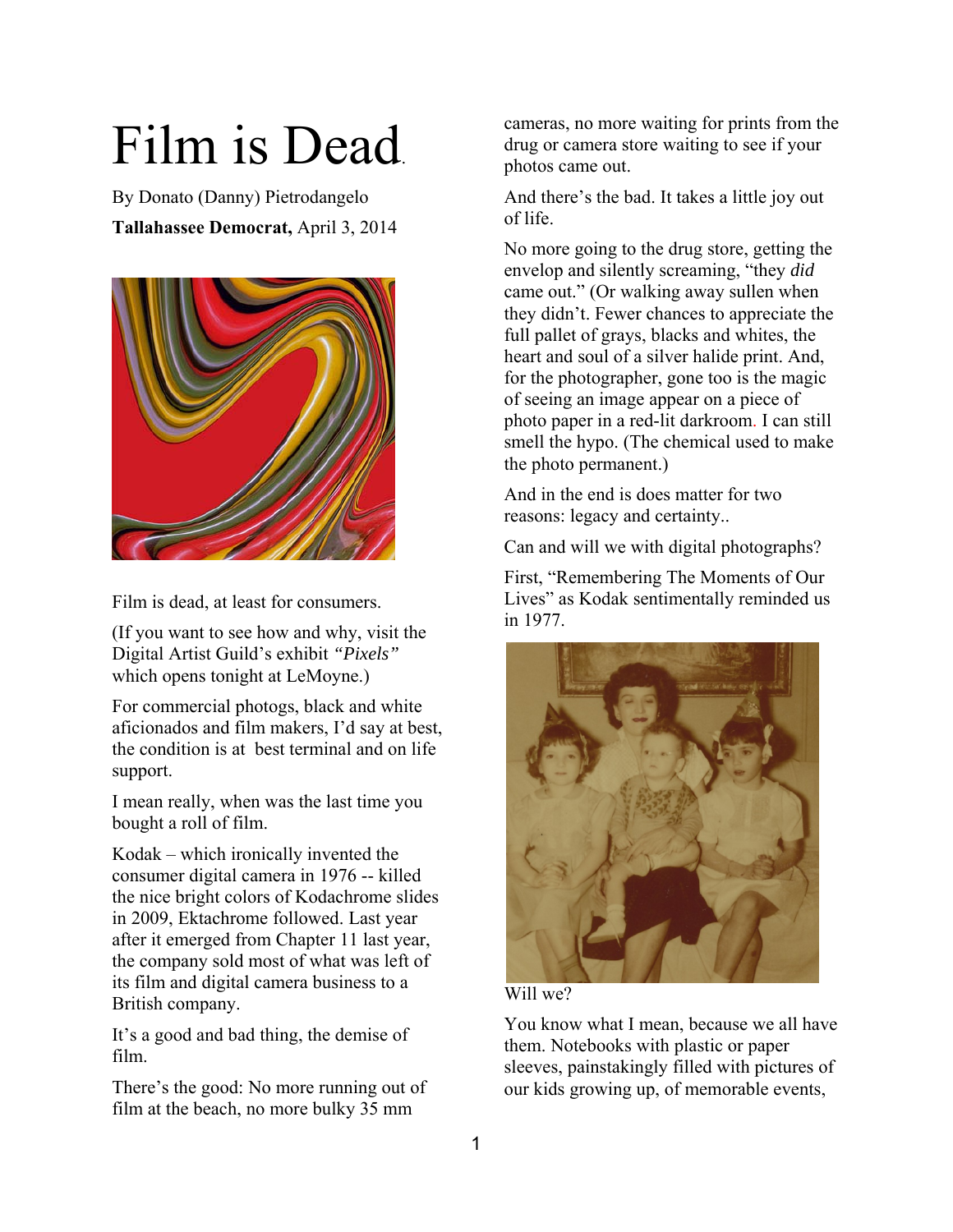## Film is Dead.

By Donato (Danny) Pietrodangelo **Tallahassee Democrat,** April 3, 2014



Film is dead, at least for consumers.

(If you want to see how and why, visit the Digital Artist Guild's exhibit *"Pixels"* which opens tonight at LeMoyne.)

For commercial photogs, black and white aficionados and film makers, I'd say at best, the condition is at best terminal and on life support.

I mean really, when was the last time you bought a roll of film.

Kodak – which ironically invented the consumer digital camera in 1976 -- killed the nice bright colors of Kodachrome slides in 2009, Ektachrome followed. Last year after it emerged from Chapter 11 last year, the company sold most of what was left of its film and digital camera business to a British company.

It's a good and bad thing, the demise of film.

There's the good: No more running out of film at the beach, no more bulky 35 mm

cameras, no more waiting for prints from the drug or camera store waiting to see if your photos came out.

And there's the bad. It takes a little joy out of life.

No more going to the drug store, getting the envelop and silently screaming, "they *did*  came out." (Or walking away sullen when they didn't. Fewer chances to appreciate the full pallet of grays, blacks and whites, the heart and soul of a silver halide print. And, for the photographer, gone too is the magic of seeing an image appear on a piece of photo paper in a red-lit darkroom. I can still smell the hypo. (The chemical used to make the photo permanent.)

And in the end is does matter for two reasons: legacy and certainty..

Can and will we with digital photographs?

First, "Remembering The Moments of Our Lives" as Kodak sentimentally reminded us in 1977.





You know what I mean, because we all have them. Notebooks with plastic or paper sleeves, painstakingly filled with pictures of our kids growing up, of memorable events,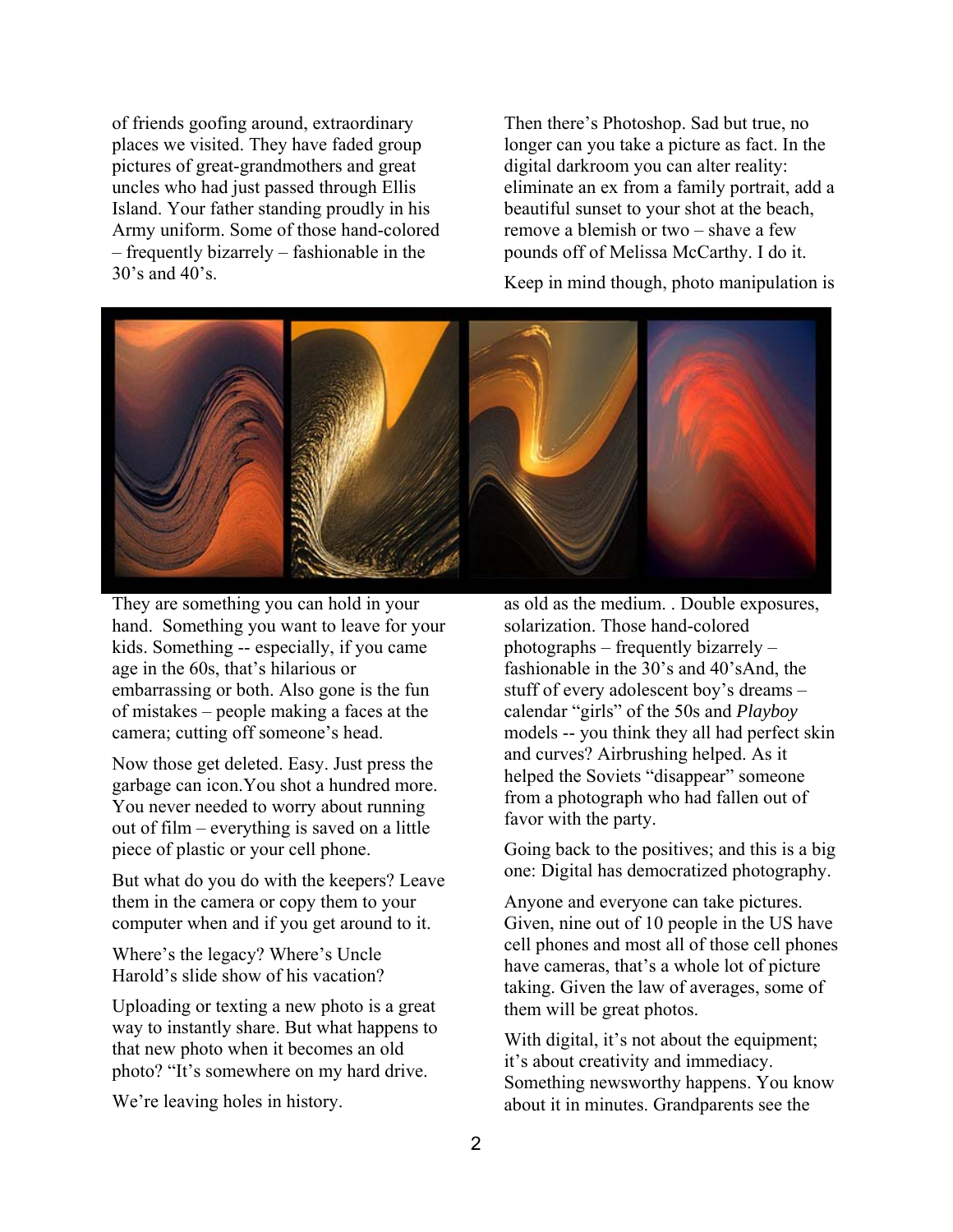of friends goofing around, extraordinary places we visited. They have faded group pictures of great-grandmothers and great uncles who had just passed through Ellis Island. Your father standing proudly in his Army uniform. Some of those hand-colored – frequently bizarrely – fashionable in the 30's and 40's.

Then there's Photoshop. Sad but true, no longer can you take a picture as fact. In the digital darkroom you can alter reality: eliminate an ex from a family portrait, add a beautiful sunset to your shot at the beach, remove a blemish or two – shave a few pounds off of Melissa McCarthy. I do it.

Keep in mind though, photo manipulation is



They are something you can hold in your hand. Something you want to leave for your kids. Something -- especially, if you came age in the 60s, that's hilarious or embarrassing or both. Also gone is the fun of mistakes – people making a faces at the camera; cutting off someone's head.

Now those get deleted. Easy. Just press the garbage can icon.You shot a hundred more. You never needed to worry about running out of film – everything is saved on a little piece of plastic or your cell phone.

But what do you do with the keepers? Leave them in the camera or copy them to your computer when and if you get around to it.

Where's the legacy? Where's Uncle Harold's slide show of his vacation?

Uploading or texting a new photo is a great way to instantly share. But what happens to that new photo when it becomes an old photo? "It's somewhere on my hard drive.

We're leaving holes in history.

as old as the medium. . Double exposures, solarization. Those hand-colored photographs – frequently bizarrely – fashionable in the 30's and 40'sAnd, the stuff of every adolescent boy's dreams – calendar "girls" of the 50s and *Playboy*  models -- you think they all had perfect skin and curves? Airbrushing helped. As it helped the Soviets "disappear" someone from a photograph who had fallen out of favor with the party.

Going back to the positives; and this is a big one: Digital has democratized photography.

Anyone and everyone can take pictures. Given, nine out of 10 people in the US have cell phones and most all of those cell phones have cameras, that's a whole lot of picture taking. Given the law of averages, some of them will be great photos.

With digital, it's not about the equipment; it's about creativity and immediacy. Something newsworthy happens. You know about it in minutes. Grandparents see the